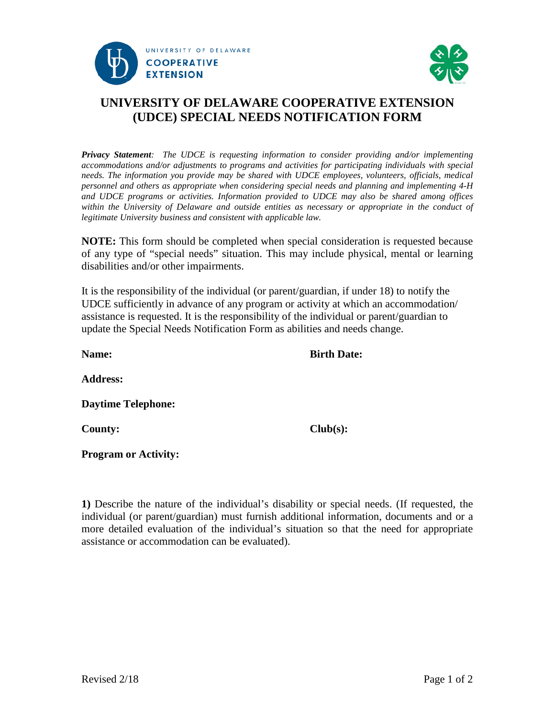



## **UNIVERSITY OF DELAWARE COOPERATIVE EXTENSION (UDCE) SPECIAL NEEDS NOTIFICATION FORM**

*Privacy Statement: The UDCE is requesting information to consider providing and/or implementing accommodations and/or adjustments to programs and activities for participating individuals with special needs. The information you provide may be shared with UDCE employees, volunteers, officials, medical personnel and others as appropriate when considering special needs and planning and implementing 4-H and UDCE programs or activities. Information provided to UDCE may also be shared among offices within the University of Delaware and outside entities as necessary or appropriate in the conduct of legitimate University business and consistent with applicable law.* 

**NOTE:** This form should be completed when special consideration is requested because of any type of "special needs" situation. This may include physical, mental or learning disabilities and/or other impairments.

It is the responsibility of the individual (or parent/guardian, if under 18) to notify the UDCE sufficiently in advance of any program or activity at which an accommodation/ assistance is requested. It is the responsibility of the individual or parent/guardian to update the Special Needs Notification Form as abilities and needs change.

**Name: Birth Date: Address: Daytime Telephone: County: Club(s): Program or Activity:** 

**1)** Describe the nature of the individual's disability or special needs. (If requested, the individual (or parent/guardian) must furnish additional information, documents and or a more detailed evaluation of the individual's situation so that the need for appropriate assistance or accommodation can be evaluated).